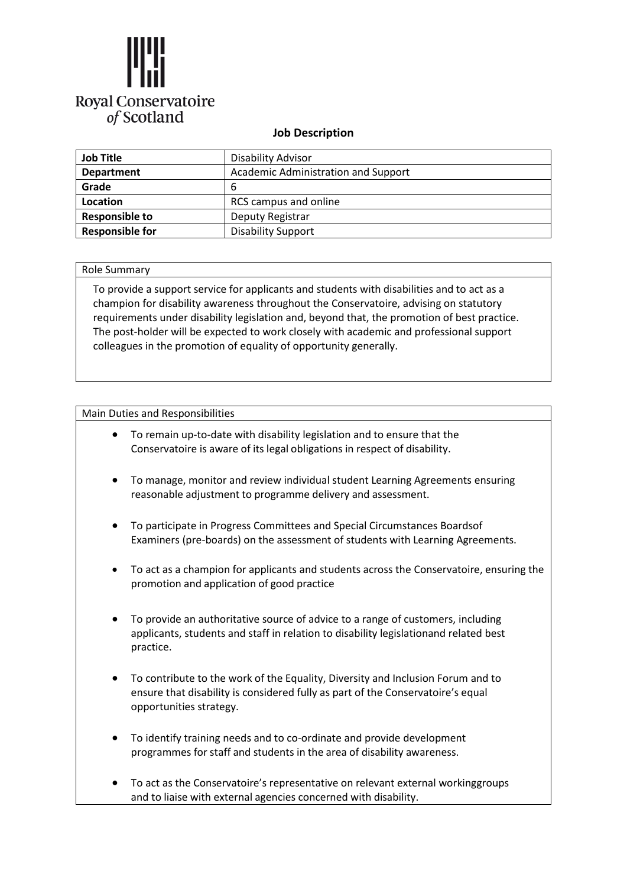

## **Job Description**

| <b>Job Title</b>       | Disability Advisor                  |  |
|------------------------|-------------------------------------|--|
| <b>Department</b>      | Academic Administration and Support |  |
| Grade                  | 6                                   |  |
| Location               | RCS campus and online               |  |
| <b>Responsible to</b>  | Deputy Registrar                    |  |
| <b>Responsible for</b> | <b>Disability Support</b>           |  |

## Role Summary

To provide a support service for applicants and students with disabilities and to act as a champion for disability awareness throughout the Conservatoire, advising on statutory requirements under disability legislation and, beyond that, the promotion of best practice. The post-holder will be expected to work closely with academic and professional support colleagues in the promotion of equality of opportunity generally.

## Main Duties and Responsibilities

- To remain up-to-date with disability legislation and to ensure that the Conservatoire is aware of its legal obligations in respect of disability.
- To manage, monitor and review individual student Learning Agreements ensuring reasonable adjustment to programme delivery and assessment.
- To participate in Progress Committees and Special Circumstances Boardsof Examiners (pre-boards) on the assessment of students with Learning Agreements.
- To act as a champion for applicants and students across the Conservatoire, ensuring the promotion and application of good practice
- To provide an authoritative source of advice to a range of customers, including applicants, students and staff in relation to disability legislationand related best practice.
- To contribute to the work of the Equality, Diversity and Inclusion Forum and to ensure that disability is considered fully as part of the Conservatoire's equal opportunities strategy.
- To identify training needs and to co-ordinate and provide development programmes for staff and students in the area of disability awareness.
- To act as the Conservatoire's representative on relevant external workinggroups and to liaise with external agencies concerned with disability.